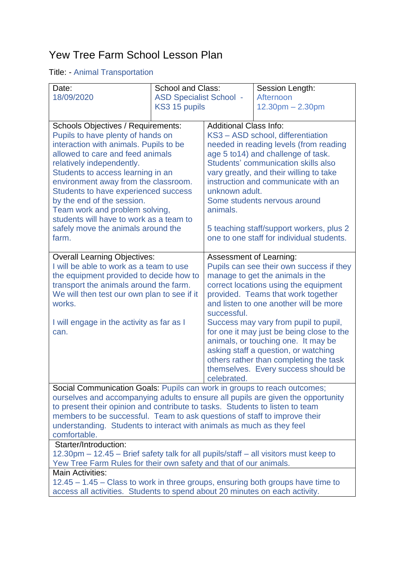## Yew Tree Farm School Lesson Plan

## Title: - Animal Transportation

| Date:                                                                                | <b>School and Class:</b>       |                                                                                       | Session Length:                           |  |
|--------------------------------------------------------------------------------------|--------------------------------|---------------------------------------------------------------------------------------|-------------------------------------------|--|
| 18/09/2020                                                                           | <b>ASD Specialist School -</b> |                                                                                       | Afternoon                                 |  |
|                                                                                      | KS3 15 pupils                  |                                                                                       | $12.30pm - 2.30pm$                        |  |
|                                                                                      |                                |                                                                                       |                                           |  |
| <b>Schools Objectives / Requirements:</b>                                            |                                | <b>Additional Class Info:</b>                                                         |                                           |  |
| Pupils to have plenty of hands on                                                    |                                | KS3 - ASD school, differentiation                                                     |                                           |  |
| interaction with animals. Pupils to be                                               |                                | needed in reading levels (from reading                                                |                                           |  |
| allowed to care and feed animals                                                     |                                | age 5 to 14) and challenge of task.                                                   |                                           |  |
| relatively independently.                                                            |                                |                                                                                       | Students' communication skills also       |  |
| Students to access learning in an                                                    |                                | vary greatly, and their willing to take                                               |                                           |  |
| environment away from the classroom.                                                 |                                | instruction and communicate with an                                                   |                                           |  |
| Students to have experienced success                                                 |                                | unknown adult.                                                                        |                                           |  |
| by the end of the session.                                                           |                                | Some students nervous around                                                          |                                           |  |
| Team work and problem solving,                                                       |                                | animals.                                                                              |                                           |  |
| students will have to work as a team to<br>safely move the animals around the        |                                |                                                                                       |                                           |  |
| farm.                                                                                |                                | 5 teaching staff/support workers, plus 2<br>one to one staff for individual students. |                                           |  |
|                                                                                      |                                |                                                                                       |                                           |  |
| <b>Overall Learning Objectives:</b>                                                  |                                | Assessment of Learning:                                                               |                                           |  |
| I will be able to work as a team to use                                              |                                | Pupils can see their own success if they                                              |                                           |  |
| the equipment provided to decide how to                                              |                                | manage to get the animals in the                                                      |                                           |  |
| transport the animals around the farm.                                               |                                |                                                                                       | correct locations using the equipment     |  |
| We will then test our own plan to see if it                                          |                                |                                                                                       | provided. Teams that work together        |  |
| works.                                                                               |                                |                                                                                       | and listen to one another will be more    |  |
| I will engage in the activity as far as I                                            |                                | successful.                                                                           | Success may vary from pupil to pupil,     |  |
| can.                                                                                 |                                |                                                                                       | for one it may just be being close to the |  |
|                                                                                      |                                |                                                                                       | animals, or touching one. It may be       |  |
|                                                                                      |                                |                                                                                       | asking staff a question, or watching      |  |
|                                                                                      |                                |                                                                                       | others rather than completing the task    |  |
|                                                                                      |                                |                                                                                       | themselves. Every success should be       |  |
|                                                                                      |                                | celebrated.                                                                           |                                           |  |
| Social Communication Goals: Pupils can work in groups to reach outcomes;             |                                |                                                                                       |                                           |  |
| ourselves and accompanying adults to ensure all pupils are given the opportunity     |                                |                                                                                       |                                           |  |
| to present their opinion and contribute to tasks. Students to listen to team         |                                |                                                                                       |                                           |  |
| members to be successful. Team to ask questions of staff to improve their            |                                |                                                                                       |                                           |  |
| understanding. Students to interact with animals as much as they feel                |                                |                                                                                       |                                           |  |
| comfortable.<br>Starter/Introduction:                                                |                                |                                                                                       |                                           |  |
| 12.30pm – 12.45 – Brief safety talk for all pupils/staff – all visitors must keep to |                                |                                                                                       |                                           |  |
| Yew Tree Farm Rules for their own safety and that of our animals.                    |                                |                                                                                       |                                           |  |
| <b>Main Activities:</b>                                                              |                                |                                                                                       |                                           |  |
| 12.45 – 1.45 – Class to work in three groups, ensuring both groups have time to      |                                |                                                                                       |                                           |  |
| access all activities. Students to spend about 20 minutes on each activity.          |                                |                                                                                       |                                           |  |
|                                                                                      |                                |                                                                                       |                                           |  |